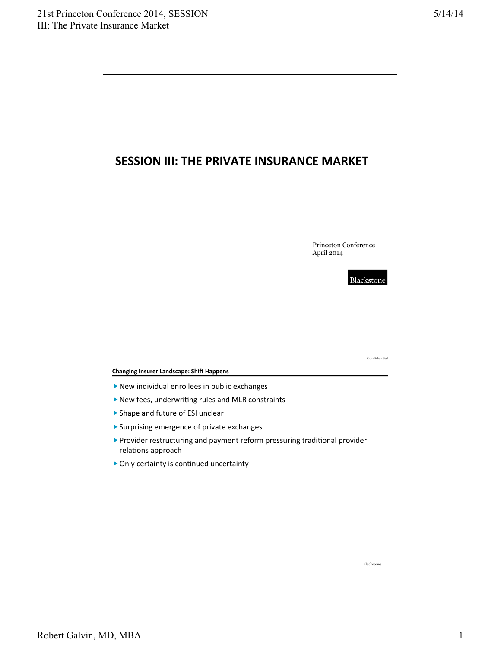

|                                                                                                                  | Confidential   |
|------------------------------------------------------------------------------------------------------------------|----------------|
| <b>Changing Insurer Landscape: Shift Happens</b>                                                                 |                |
| New individual enrollees in public exchanges                                                                     |                |
| $\triangleright$ New fees, underwriting rules and MLR constraints                                                |                |
| ▶ Shape and future of ESI unclear                                                                                |                |
| ▶ Surprising emergence of private exchanges                                                                      |                |
| $\triangleright$ Provider restructuring and payment reform pressuring traditional provider<br>relations approach |                |
| • Only certainty is continued uncertainty                                                                        |                |
|                                                                                                                  |                |
|                                                                                                                  |                |
|                                                                                                                  |                |
|                                                                                                                  |                |
|                                                                                                                  |                |
|                                                                                                                  |                |
| Blackstone                                                                                                       | $\overline{1}$ |
|                                                                                                                  |                |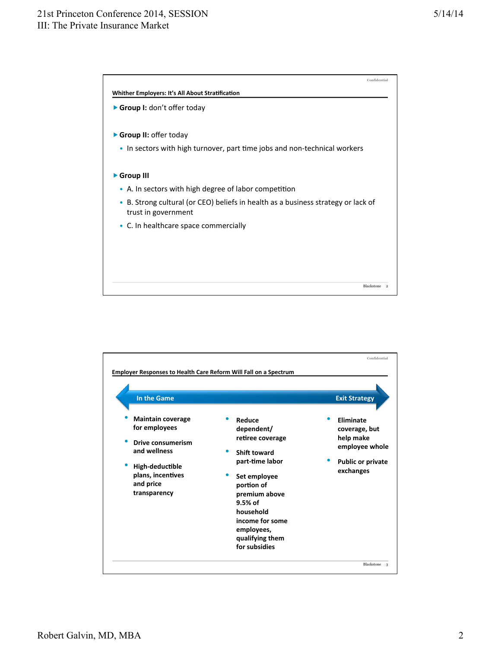## 21st Princeton Conference 2014, SESSION III: The Private Insurance Market



| In the Game                                                                                                                                         |                                                                                                                                                                                                                           | <b>Exit Strategy</b>                                                                               |
|-----------------------------------------------------------------------------------------------------------------------------------------------------|---------------------------------------------------------------------------------------------------------------------------------------------------------------------------------------------------------------------------|----------------------------------------------------------------------------------------------------|
| <b>Maintain coverage</b><br>for employees<br>Drive consumerism<br>and wellness<br>High-deductible<br>plans, incentives<br>and price<br>transparency | Reduce<br>dependent/<br>retiree coverage<br>Shift toward<br>part-time labor<br>Set employee<br>portion of<br>premium above<br>$9.5%$ of<br>household<br>income for some<br>employees,<br>qualifying them<br>for subsidies | Eliminate<br>coverage, but<br>help make<br>employee whole<br><b>Public or private</b><br>exchanges |